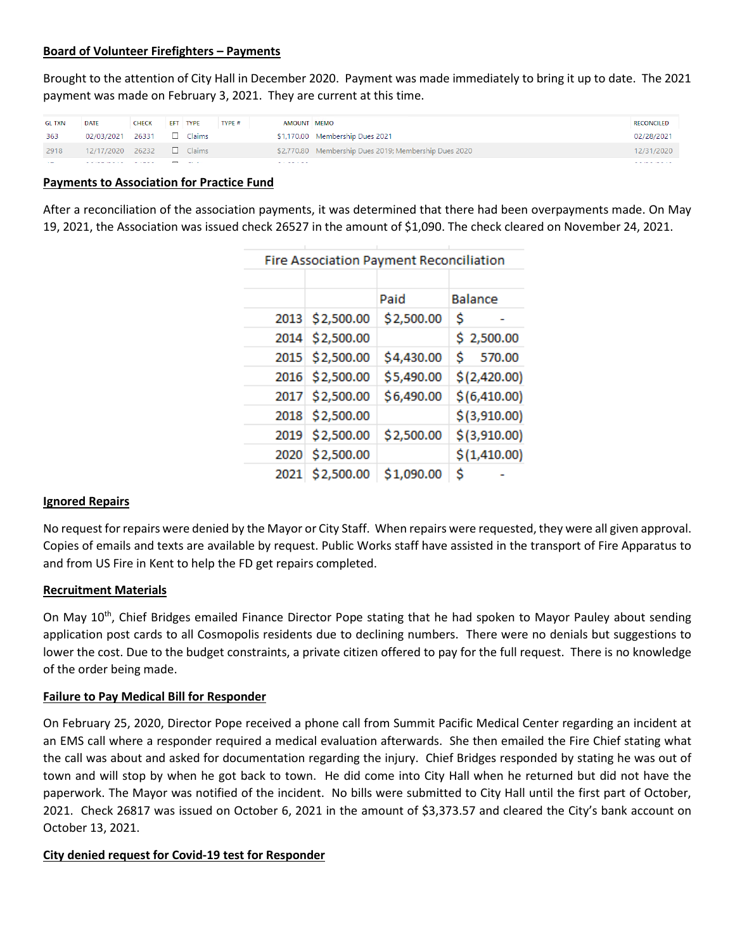#### **Board of Volunteer Firefighters – Payments**

Brought to the attention of City Hall in December 2020. Payment was made immediately to bring it up to date. The 2021 payment was made on February 3, 2021. They are current at this time.

| <b>GL TXN</b>  | DATE                              | <b>CHECK</b> | EFT TYPE                 | TYPE # | AMOUNT MEMO     |                                                       | <b>RECONCILED</b>               |
|----------------|-----------------------------------|--------------|--------------------------|--------|-----------------|-------------------------------------------------------|---------------------------------|
| 363            | 02/03/2021                        | 26331        | $\Box$ Claims            |        |                 | \$1,170.00 Membership Dues 2021                       | 02/28/2021                      |
| 2918           | 12/17/2020 26232                  |              | $\Box$ Claims            |        |                 | \$2,770.80 Membership Dues 2019; Membership Dues 2020 | 12/31/2020                      |
| <b>Section</b> | المتحدث والمستحدث والمتحدث والمنا |              | the contract of the con- |        | المتمام سمادتها |                                                       | the participants of the control |

#### **Payments to Association for Practice Fund**

After a reconciliation of the association payments, it was determined that there had been overpayments made. On May 19, 2021, the Association was issued check 26527 in the amount of \$1,090. The check cleared on November 24, 2021.

| <b>Fire Association Payment Reconciliation</b> |                 |            |               |  |  |  |  |  |
|------------------------------------------------|-----------------|------------|---------------|--|--|--|--|--|
|                                                |                 |            |               |  |  |  |  |  |
|                                                |                 | Paid       | Balance       |  |  |  |  |  |
|                                                | 2013 \$2,500.00 | \$2,500.00 | \$            |  |  |  |  |  |
|                                                | 2014 \$2,500.00 |            | \$2,500.00    |  |  |  |  |  |
|                                                | 2015 \$2,500.00 | \$4,430.00 | Ŝ.<br>570.00  |  |  |  |  |  |
|                                                | 2016 \$2,500.00 | \$5,490.00 | \$(2,420.00)  |  |  |  |  |  |
|                                                | 2017 \$2,500.00 | \$6,490.00 | \$(6, 410.00) |  |  |  |  |  |
|                                                | 2018 \$2,500.00 |            | \$(3,910.00)  |  |  |  |  |  |
|                                                | 2019 \$2,500.00 | \$2,500.00 | \$(3,910.00)  |  |  |  |  |  |
|                                                | 2020 \$2,500.00 |            | \$(1, 410.00) |  |  |  |  |  |
|                                                | 2021 \$2,500.00 | \$1,090.00 | Ś             |  |  |  |  |  |
|                                                |                 |            |               |  |  |  |  |  |

## **Ignored Repairs**

No request for repairs were denied by the Mayor or City Staff. When repairs were requested, they were all given approval. Copies of emails and texts are available by request. Public Works staff have assisted in the transport of Fire Apparatus to and from US Fire in Kent to help the FD get repairs completed.

#### **Recruitment Materials**

On May 10<sup>th</sup>, Chief Bridges emailed Finance Director Pope stating that he had spoken to Mayor Pauley about sending application post cards to all Cosmopolis residents due to declining numbers. There were no denials but suggestions to lower the cost. Due to the budget constraints, a private citizen offered to pay for the full request. There is no knowledge of the order being made.

## **Failure to Pay Medical Bill for Responder**

On February 25, 2020, Director Pope received a phone call from Summit Pacific Medical Center regarding an incident at an EMS call where a responder required a medical evaluation afterwards. She then emailed the Fire Chief stating what the call was about and asked for documentation regarding the injury. Chief Bridges responded by stating he was out of town and will stop by when he got back to town. He did come into City Hall when he returned but did not have the paperwork. The Mayor was notified of the incident. No bills were submitted to City Hall until the first part of October, 2021. Check 26817 was issued on October 6, 2021 in the amount of \$3,373.57 and cleared the City's bank account on October 13, 2021.

## **City denied request for Covid-19 test for Responder**